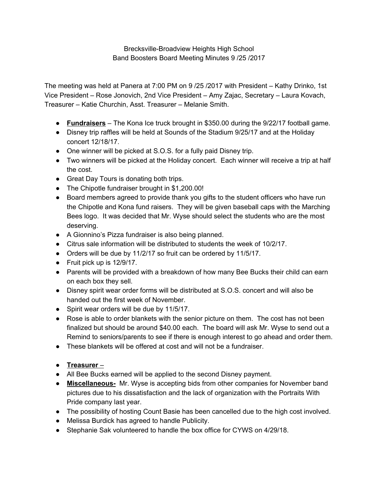Brecksville-Broadview Heights High School Band Boosters Board Meeting Minutes 9 /25 /2017

The meeting was held at Panera at 7:00 PM on 9 /25 /2017 with President – Kathy Drinko, 1st Vice President – Rose Jonovich, 2nd Vice President – Amy Zajac, Secretary – Laura Kovach, Treasurer – Katie Churchin, Asst. Treasurer – Melanie Smith.

- **Fundraisers** The Kona Ice truck brought in \$350.00 during the 9/22/17 football game.
- Disney trip raffles will be held at Sounds of the Stadium 9/25/17 and at the Holiday concert 12/18/17.
- One winner will be picked at S.O.S. for a fully paid Disney trip.
- Two winners will be picked at the Holiday concert. Each winner will receive a trip at half the cost.
- Great Day Tours is donating both trips.
- The Chipotle fundraiser brought in \$1,200.00!
- Board members agreed to provide thank you gifts to the student officers who have run the Chipotle and Kona fund raisers. They will be given baseball caps with the Marching Bees logo. It was decided that Mr. Wyse should select the students who are the most deserving.
- A Gionnino's Pizza fundraiser is also being planned.
- Citrus sale information will be distributed to students the week of 10/2/17.
- Orders will be due by 11/2/17 so fruit can be ordered by 11/5/17.
- Fruit pick up is 12/9/17.
- Parents will be provided with a breakdown of how many Bee Bucks their child can earn on each box they sell.
- Disney spirit wear order forms will be distributed at S.O.S. concert and will also be handed out the first week of November.
- Spirit wear orders will be due by 11/5/17.
- Rose is able to order blankets with the senior picture on them. The cost has not been finalized but should be around \$40.00 each. The board will ask Mr. Wyse to send out a Remind to seniors/parents to see if there is enough interest to go ahead and order them.
- These blankets will be offered at cost and will not be a fundraiser.
- **Treasurer** –
- All Bee Bucks earned will be applied to the second Disney payment.
- **● Miscellaneous-** Mr. Wyse is accepting bids from other companies for November band pictures due to his dissatisfaction and the lack of organization with the Portraits With Pride company last year.
- The possibility of hosting Count Basie has been cancelled due to the high cost involved.
- Melissa Burdick has agreed to handle Publicity.
- Stephanie Sak volunteered to handle the box office for CYWS on 4/29/18.